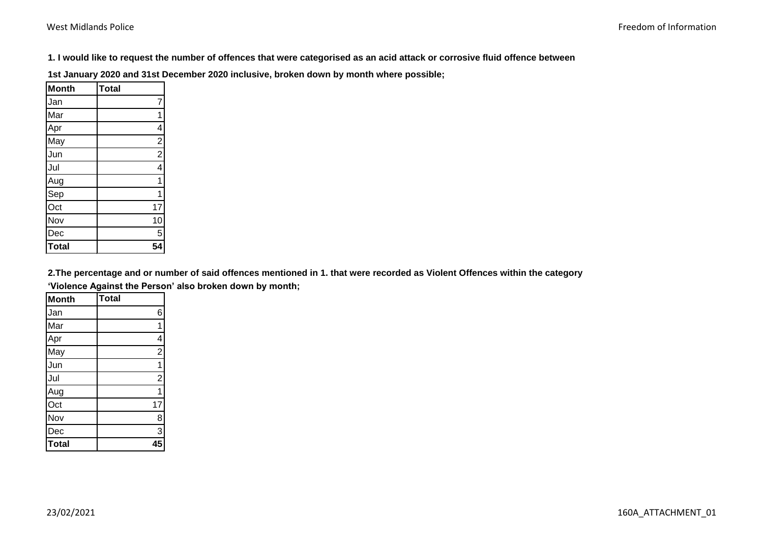**1. I would like to request the number of offences that were categorised as an acid attack or corrosive fluid offence between** 

**1st January 2020 and 31st December 2020 inclusive, broken down by month where possible;**

| <b>Month</b>     | <b>Total</b>   |
|------------------|----------------|
| Jan              | 7              |
| Mar              | 1              |
| Apr              | 4              |
| May              | $\frac{2}{2}$  |
| Jun              |                |
| Jul              | $\overline{4}$ |
| Aug              | 1              |
| Sep              | 1              |
| $\overline{Oct}$ | 17             |
| Nov              | 10             |
| Dec              | $\overline{5}$ |
| <b>Total</b>     | 54             |

**2.The percentage and or number of said offences mentioned in 1. that were recorded as Violent Offences within the category 'Violence Against the Person' also broken down by month;**

| Month        | Total          |
|--------------|----------------|
| Jan          | 6              |
| Mar          | 1              |
| Apr          | 4              |
| May          | $\overline{2}$ |
| Jun          | $\overline{1}$ |
| Jul          | $\overline{2}$ |
| Aug          | $\overline{1}$ |
| Oct          | 17             |
| Nov          | 8              |
| Dec          | $\overline{3}$ |
| <b>Total</b> | 45             |